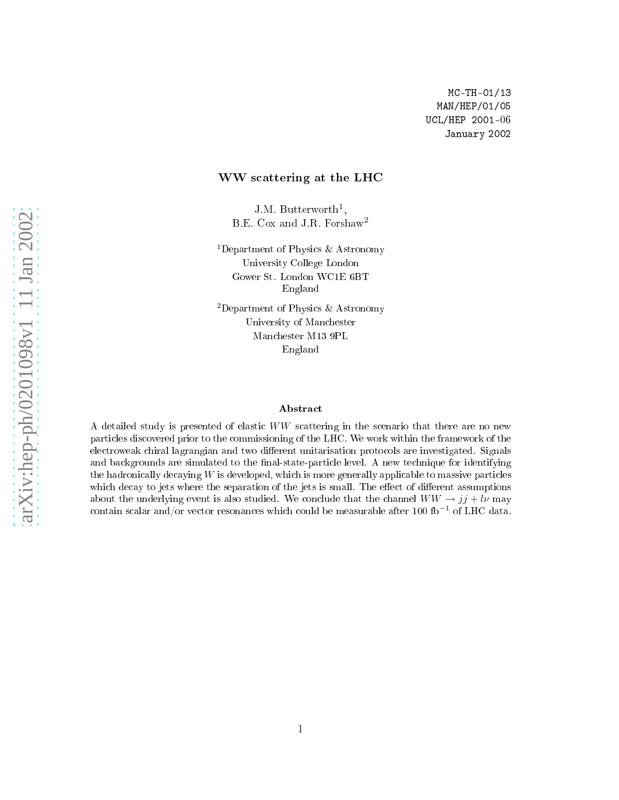#### ww.communication.com/s/attention-

J.M. Butterworth<sup>1</sup>, B.E. Cox and J.R. Forshaw<sup>2</sup>

<sup>1</sup>Department of Physics  $\&$  Astronomy Universit y College London England

<sup>2</sup>Department of Physics  $\&$  Astronomy v of Manual Property and Manual Property and the University of The University of The University of The University of The University of The University of The University of The University of The University of The University Man
hester M13 9PL England

#### Abstra
t

<sup>A</sup> detailed study is presented of elasti WW s
attering in the s
enario that there are no new particles distribution prior to the commissioning of the LHC . The commissioning the framework of the framework electronic comment and the signals are in a commenced. Signals are in the constraint and the complete strong of and ba
kgrounds are simulated to the nal-state-parti
le level. A new te
hnique for identifying the hadronically decaying  $W$  is developed, which is more generally applicable to massive particles which define the separation of the separation of the separation of the jets is small. The eed of dieren separations of the jets is small. The experimental of the separation of the separation of the separation of the separa about the underlying event is also studied. We conclude that the channel  $WW \rightarrow jj + l\nu$  may contain scalar and/or vector resonances which could be measurable after 100 fb<sup>-1</sup> of LHC data.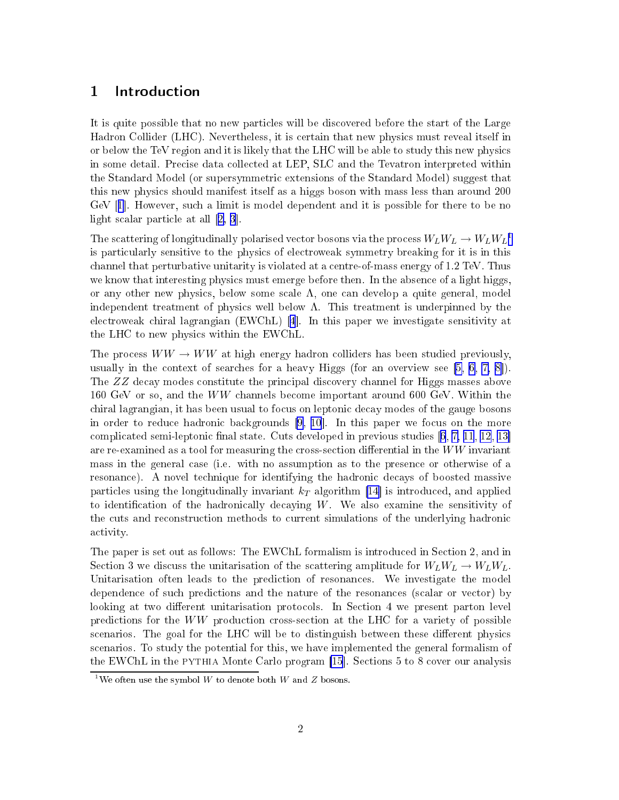### 1 Introdu
tion

It is quite possible that no new particles will be discovered before the start of the Large Hadron Collider (LHC). Nevertheless, it is ertain that new physi
s must reveal itself in or below the TeV region and it is likely that the LHC will be able to study this new physi
s in some detail. Pre
ise data olle
ted at LEP, SLC and the Tevatron interpreted within the Standard Model (or supersymmetri extensions of the Standard Model) suggest that this new physi
s should manifest itself as a higgs boson with mass less than around 200  $GeV$  [[1](#page-27-0)]. However, such a limit is model dependent and it is possible for there to be no light scalar particle at all  $[2, 3]$  $[2, 3]$  $[2, 3]$  $[2, 3]$  $[2, 3]$ .

The scattering of longitudinally polarised vector bosons via the process  $W_L W_L \rightarrow W_L W_L^{-1}$ is parti
ularly sensitive to the physi
s of ele
troweak symmetry breaking for it is in this channel that perturbative unitarity is violated at a centre-of-mass energy of 1.2 TeV. Thus we know that interesting physics must emerge before then. In the absence of a light higgs, or any other new physics, below some scale  $\Lambda$ , one can develop a quite general, model independent treatment of physics well below  $\Lambda$ . This treatment is underpinned by the electroweak chiral lagrangian (EWChL) [\[4](#page-27-0)]. In this paper we investigate sensitivity at the LHC to new physi
s within the EWChL.

The process  $WW \rightarrow WW$  at high energy hadron colliders has been studied previously, usually in the context of searches for a heavy Higgs (for an overview see  $[5, 6, 7, 8]$  $[5, 6, 7, 8]$  $[5, 6, 7, 8]$  $[5, 6, 7, 8]$  $[5, 6, 7, 8]$  $[5, 6, 7, 8]$ ). The ZZ de
ay modes onstitute the prin
ipal dis
overy hannel for Higgs masses above <sup>160</sup> GeV or so, and the WW hannels be
ome important around 600 GeV. Within the hiral lagrangian, it has been usual to fo
us on leptoni de
ay modes of the gauge bosons in order to reduce hadronic backgrounds  $[9, 10]$  $[9, 10]$  $[9, 10]$  $[9, 10]$ . In this paper we focus on the more complicated semi-leptonic final state. Cuts developed in previous studies  $[6, 7, 11, 12, 13]$  $[6, 7, 11, 12, 13]$  $[6, 7, 11, 12, 13]$  $[6, 7, 11, 12, 13]$  $[6, 7, 11, 12, 13]$  $[6, 7, 11, 12, 13]$  $[6, 7, 11, 12, 13]$  $[6, 7, 11, 12, 13]$  $[6, 7, 11, 12, 13]$ are re-examined as a tool for measuring the cross-section differential in the  $WW$  invariant mass in the general ase (i.e. with no assumption as to the presen
e or otherwise of a resonance). A novel technique for identifying the hadronic decays of boosted massive particles using the longitudinally invariant  $k_T$  algorithm [14] is introduced, and applied to identification of the hadronically decaying  $W$ . We also examine the sensitivity of the uts and re
onstru
tion methods to urrent simulations of the underlying hadroni activity.

The paper is set out as follows: The EWChL formalism is introduced in Section 2, and in Section 3 we discuss the unitarisation of the scattering amplitude for  $W_L W_L \rightarrow W_L W_L$ . Unitarisation often leads to the prediction of resonances. We investigate the model dependence of such predictions and the nature of the resonances (scalar or vector) by looking at two different unitarisation protocols. In Section 4 we present parton level predictions for the WW production cross-section at the LHC for a variety of possible scenarios. The goal for the LHC will be to distinguish between these different physics s
enarios. To study the potential for this, we have implemented the general formalism of the EWChL in the PYTHIA Monte Carlo program  $[15]$  $[15]$ . Sections 5 to 8 cover our analysis

<sup>&</sup>lt;sup>1</sup>We often use the symbol W to denote both W and Z bosons.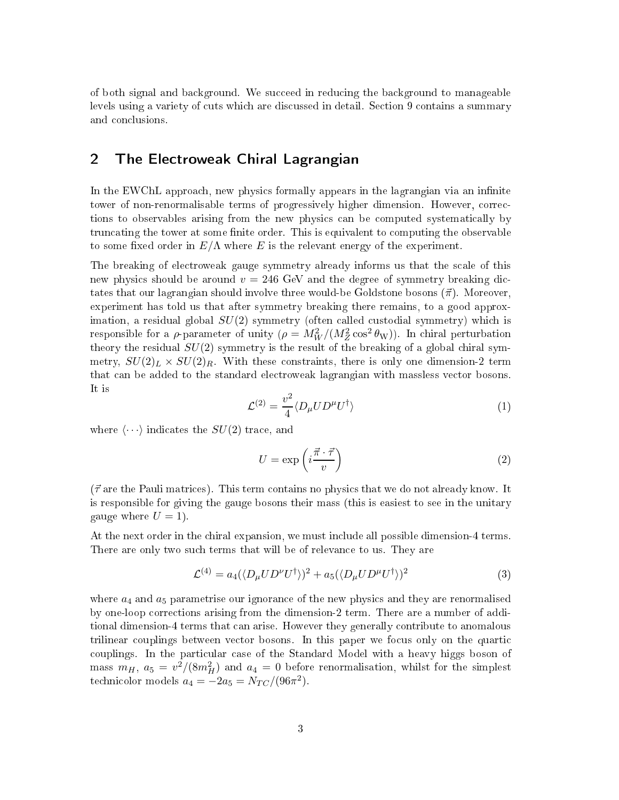of both signal and ba
kground. We su

eed in redu
ing the ba
kground to manageable levels using a variety of cuts which are discussed in detail. Section 9 contains a summary and on
lusions.

# 2 The Ele
troweak Chiral Lagrangian

In the EWChL approach, new physics formally appears in the lagrangian via an infinite tower of non-renormalisable terms of progressively higher dimension. However, corrections to observables arising from the new physi
s an be omputed systemati
ally by truncating the tower at some finite order. This is equivalent to computing the observable to some fixed order in  $E/\Lambda$  where E is the relevant energy of the experiment.

The breaking of ele
troweak gauge symmetry already informs us that the s
ale of this new physics should be around  $v = 246$  GeV and the degree of symmetry breaking dictates that our lagrangian should involve three would-be Goldstone bosons  $(\vec{\pi})$ . Moreover, experiment has told us that after symmetry breaking there remains, to a good approximation, a residual global  $SU(2)$  symmetry (often called custodial symmetry) which is responsible for a  $\rho$ -parameter of unity  $(\rho = M_W^2/(M_Z^2 \cos^2 \theta_W))$ . In chiral perturbation theory the residual  $SU(2)$  symmetry is the result of the breaking of a global chiral symmetry,  $SU(2)_L \times SU(2)_R$ . With these constraints, there is only one dimension-2 term that an be added to the standard ele
troweak lagrangian with massless ve
tor bosons. It is

$$
\mathcal{L}^{(2)} = \frac{v^2}{4} \langle D_{\mu} U D^{\mu} U^{\dagger} \rangle \tag{1}
$$

where  $\langle \cdots \rangle$  indicates the  $SU(2)$  trace, and

$$
U = \exp\left(i\frac{\vec{\pi} \cdot \vec{\tau}}{v}\right) \tag{2}
$$

 $({\vec \tau}$  are the Pauli matrices). This term contains no physics that we do not already know. It is responsible for giving the gauge bosons their mass (this is easiest to see in the unitary gauge where  $U = 1$ .

At the next order in the chiral expansion, we must include all possible dimension-4 terms. There are only two such terms that will be of relevance to us. They are

$$
\mathcal{L}^{(4)} = a_4 (\langle D_\mu U D^\nu U^\dagger \rangle)^2 + a_5 (\langle D_\mu U D^\mu U^\dagger \rangle)^2 \tag{3}
$$

where  $a_4$  and  $a_5$  parametrise our ignorance of the new physics and they are renormalised by one-loop orre
tions arising from the dimension-2 term. There are a number of additional dimension-4 terms that an arise. However they generally ontribute to anomalous trilinear couplings between vector bosons. In this paper we focus only on the quartic couplings. In the particular case of the Standard Model with a heavy higgs boson of mass  $m_H$ ,  $a_5 = v^2/(8m_H^2)$  and  $a_4 = 0$  before renormalisation, whilst for the simplest technicolor models  $a_4 = -2a_5 = N_{TC}/(96\pi^2)$ .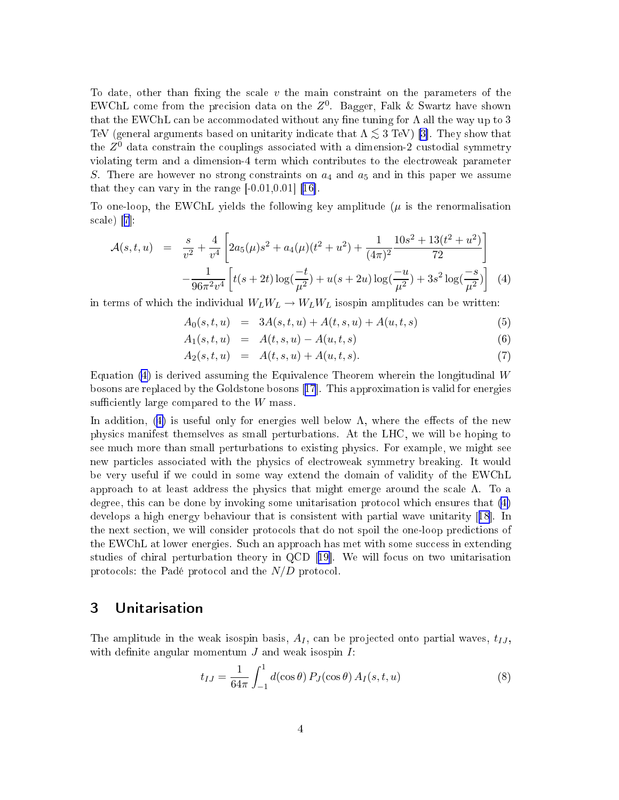To date, other than fixing the scale  $v$  the main constraint on the parameters of the EWChL come from the precision data on the  $Z^0$ . Bagger, Falk & Swartz have shown that the EWChL can be accommodated without any fine tuning for  $\Lambda$  all the way up to 3 TeV (general arguments based on unitarity indicate that  $\Lambda \lesssim 3$  TeV) [3]. They show that the  $Z^0$  data constrain the couplings associated with a dimension-2 custodial symmetry violating term and a dimension-4 term whi
h ontributes to the ele
troweak parameter S. There are however no strong constraints on  $a_4$  and  $a_5$  and in this paper we assume that they can vary in the range  $[-0.01, 0.01]$  [16].

To one-loop, the EWChL yields the following key amplitude  $(\mu$  is the renormalisation  $scale)$  [7]:

$$
\mathcal{A}(s,t,u) = \frac{s}{v^2} + \frac{4}{v^4} \left[ 2a_5(\mu)s^2 + a_4(\mu)(t^2 + u^2) + \frac{1}{(4\pi)^2} \frac{10s^2 + 13(t^2 + u^2)}{72} \right] - \frac{1}{96\pi^2 v^4} \left[ t(s+2t) \log(\frac{-t}{\mu^2}) + u(s+2u) \log(\frac{-u}{\mu^2}) + 3s^2 \log(\frac{-s}{\mu^2}) \right] (4)
$$

in terms of which the individual  $W_L W_L \rightarrow W_L W_L$  isospin amplitudes can be written:

$$
A_0(s, t, u) = 3A(s, t, u) + A(t, s, u) + A(u, t, s)
$$
\n(5)

$$
A_1(s, t, u) = A(t, s, u) - A(u, t, s) \tag{6}
$$

$$
A_2(s, t, u) = A(t, s, u) + A(u, t, s). \tag{7}
$$

Equation (4) is derived assuming the Equivalen
e Theorem wherein the longitudinal W bosons are replaced by the Goldstone bosons  $[17]$  $[17]$  $[17]$ . This approximation is valid for energies sufficiently large compared to the  $W$  mass.

In addition, (4) is useful only for energies well below  $\Lambda$ , where the effects of the new physi
s manifest themselves as small perturbations. At the LHC, we will be hoping to see mu
h more than small perturbations to existing physi
s. For example, we might see new parti
les asso
iated with the physi
s of ele
troweak symmetry breaking. It would be very useful if we ould in some way extend the domain of validity of the EWChL approach to at least address the physics that might emerge around the scale  $\Lambda$ . To a degree, this an be done by invoking some unitarisation proto
ol whi
h ensures that (4) develops a high energy behaviour that is consistent with partial wave unitarity [[18](#page-28-0)]. In the next se
tion, we will onsider proto
ols that do not spoil the one-loop predi
tions of the EWChL at lower energies. Such an approach has met with some success in extending studies of chiral perturbation theory in QCD  $[19]$ . We will focus on two unitarisation protocols: the Padé protocol and the  $N/D$  protocol.

## 3 Unitarisation

The amplitude in the weak isospin basis,  $A_I$ , can be projected onto partial waves,  $t_{IJ}$ , with definite angular momentum  $J$  and weak isospin  $I$ :

$$
t_{IJ} = \frac{1}{64\pi} \int_{-1}^{1} d(\cos\theta) P_J(\cos\theta) A_I(s, t, u)
$$
 (8)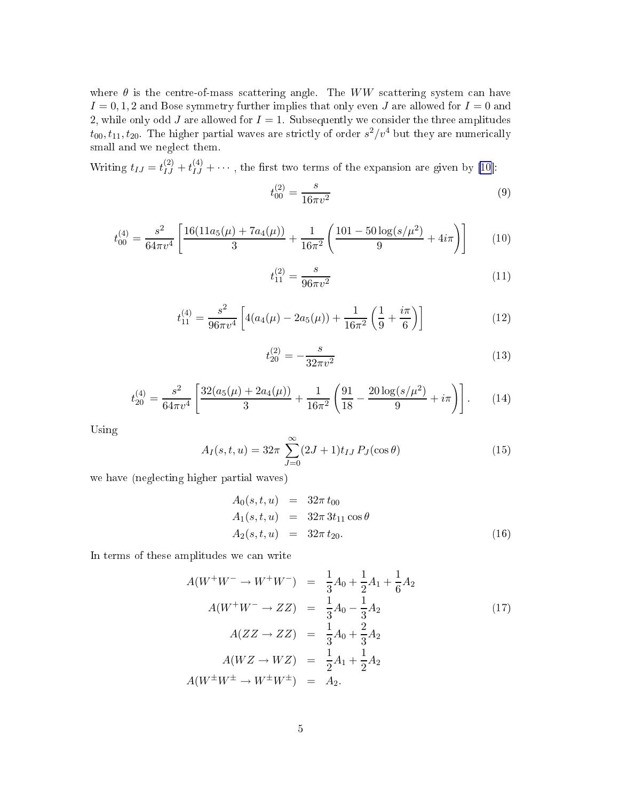where  $\theta$  is the centre-of-mass scattering angle. The WW scattering system can have  $I = 0, 1, 2$  and Bose symmetry further implies that only even J are allowed for  $I = 0$  and 2, while only odd  $J$  are allowed for  $I = 1$ . Subsequently we consider the three amplitudes  $t_{00}, t_{11}, t_{20}$ . The higher partial waves are strictly of order  $s^2/v^4$  but they are numerically small and we negle
t them.

Writing  $t_{IJ} = t_{IJ}^{(2)} + t_{IJ}^{(4)} + \cdots$ , the first two terms of the expansion are given by [\[10](#page-27-0)]:

$$
t_{00}^{(2)} = \frac{s}{16\pi v^2} \tag{9}
$$

$$
t_{00}^{(4)} = \frac{s^2}{64\pi v^4} \left[ \frac{16(11a_5(\mu) + 7a_4(\mu))}{3} + \frac{1}{16\pi^2} \left( \frac{101 - 50\log(s/\mu^2)}{9} + 4i\pi \right) \right]
$$
(10)

$$
t_{11}^{(2)} = \frac{s}{96\pi v^2} \tag{11}
$$

$$
t_{11}^{(4)} = \frac{s^2}{96\pi v^4} \left[ 4(a_4(\mu) - 2a_5(\mu)) + \frac{1}{16\pi^2} \left( \frac{1}{9} + \frac{i\pi}{6} \right) \right]
$$
(12)

$$
t_{20}^{(2)} = -\frac{s}{32\pi v^2} \tag{13}
$$

$$
t_{20}^{(4)} = \frac{s^2}{64\pi v^4} \left[ \frac{32(a_5(\mu) + 2a_4(\mu))}{3} + \frac{1}{16\pi^2} \left( \frac{91}{18} - \frac{20 \log(s/\mu^2)}{9} + i\pi \right) \right].
$$
 (14)

Using

$$
A_I(s, t, u) = 32\pi \sum_{J=0}^{\infty} (2J + 1)t_{IJ} P_J(\cos \theta)
$$
 (15)

we have (negle
ting higher partial waves)

$$
A_0(s, t, u) = 32\pi t_{00}
$$
  
\n
$$
A_1(s, t, u) = 32\pi 3t_{11} \cos \theta
$$
  
\n
$$
A_2(s, t, u) = 32\pi t_{20}.
$$
\n(16)

In terms of these amplitudes we an write

$$
A(W^+W^- \to W^+W^-) = \frac{1}{3}A_0 + \frac{1}{2}A_1 + \frac{1}{6}A_2
$$
  
\n
$$
A(W^+W^- \to ZZ) = \frac{1}{3}A_0 - \frac{1}{3}A_2
$$
  
\n
$$
A(ZZ \to ZZ) = \frac{1}{3}A_0 + \frac{2}{3}A_2
$$
  
\n
$$
A(WZ \to WZ) = \frac{1}{2}A_1 + \frac{1}{2}A_2
$$
  
\n
$$
A(W^{\pm}W^{\pm} \to W^{\pm}W^{\pm}) = A_2.
$$
\n(17)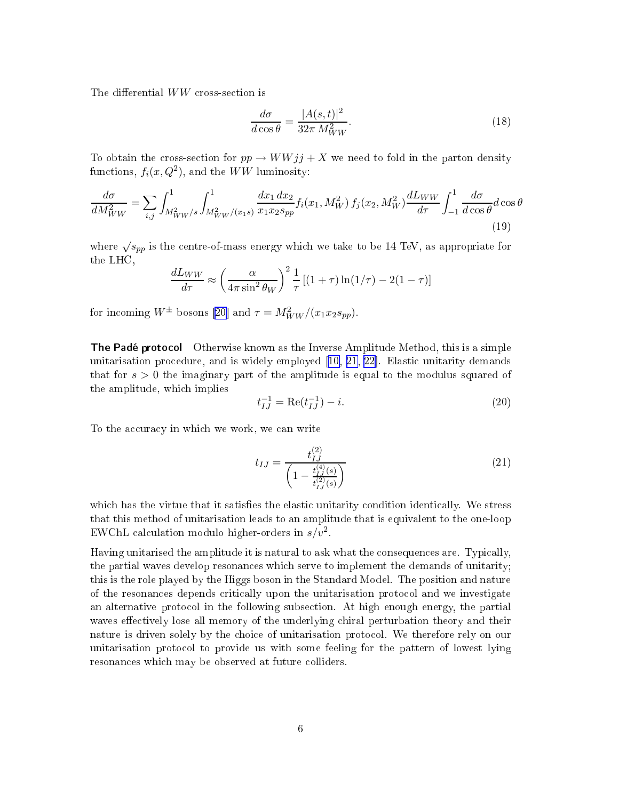The differential  $WW$  cross-section is

$$
\frac{d\sigma}{d\cos\theta} = \frac{|A(s,t)|^2}{32\pi M_{WW}^2}.
$$
\n(18)

To obtain the cross-section for  $pp \to WWjj + X$  we need to fold in the parton density functions,  $f_i(x, Q^2)$ , and the  $WW$  luminosity:

$$
\frac{d\sigma}{dM_{WW}^2} = \sum_{i,j} \int_{M_{WW}^2/s}^1 \int_{M_{WW}^2/(x_1s)}^1 \frac{dx_1 \, dx_2}{x_1 x_2 s_{pp}} f_i(x_1, M_W^2) f_j(x_2, M_W^2) \frac{dL_{WW}}{d\tau} \int_{-1}^1 \frac{d\sigma}{d\cos\theta} d\cos\theta
$$
\n(19)

where  $\sqrt{s_{pp}}$  is the centre-of-mass energy which we take to be 14 TeV, as appropriate for the LHC,

$$
\frac{dL_{WW}}{d\tau} \approx \left(\frac{\alpha}{4\pi \sin^2 \theta_W}\right)^2 \frac{1}{\tau} \left[ (1+\tau) \ln(1/\tau) - 2(1-\tau) \right]
$$

for incoming  $W^{\pm}$  bosons [\[20](#page-28-0)] and  $\tau = M_{WW}^2/(x_1x_2s_{pp})$ .

The Padé proto
ol Otherwise known as the Inverse Amplitude Method, this is a simple unitarisation procedure, and is widely employed  $[10, 21, 22]$  $[10, 21, 22]$  $[10, 21, 22]$  $[10, 21, 22]$  $[10, 21, 22]$  $[10, 21, 22]$ . Elastic unitarity demands that for  $s > 0$  the imaginary part of the amplitude is equal to the modulus squared of the amplitude, whi
h implies

$$
t_{IJ}^{-1} = \text{Re}(t_{IJ}^{-1}) - i. \tag{20}
$$

To the accuracy in which we work, we can write

$$
t_{IJ} = \frac{t_{IJ}^{(2)}}{\left(1 - \frac{t_{IJ}^{(4)}(s)}{t_{IJ}^{(2)}(s)}\right)}
$$
(21)

which has the virtue that it satisfies the elastic unitarity condition identically. We stress that this method of unitarisation leads to an amplitude that is equivalent to the one-loop EWChL calculation modulo higher-orders in  $s/v^2$ .

Having unitarised the amplitude it is natural to ask what the onsequen
es are. Typi
ally, the partial waves develop resonan
es whi
h serve to implement the demands of unitarity; this is the role played by the Higgs boson in the Standard Model. The position and nature of the resonan
es depends riti
ally upon the unitarisation proto
ol and we investigate an alternative proto
ol in the following subse
tion. At high enough energy, the partial waves effectively lose all memory of the underlying chiral perturbation theory and their nature is driven solely by the choice of unitarisation protocol. We therefore rely on our unitarisation proto
ol to provide us with some feeling for the pattern of lowest lying resonan
es whi
h may be observed at future olliders.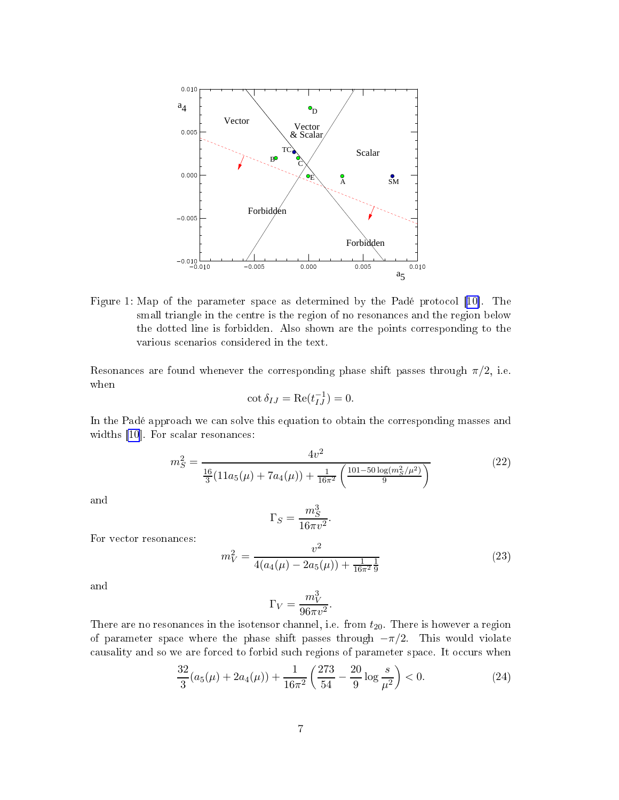<span id="page-6-0"></span>

Figure 1: Map of the parameter space as determined by the Padé protocol [10]. The small triangle in the entre is the region of no resonan
es and the region below the dotted line is forbidden. Also shown are the points orresponding to the various s
enarios onsidered in the text.

Resonances are found whenever the corresponding phase shift passes through  $\pi/2$ , i.e. when

$$
\cot \delta_{IJ} = \text{Re}(t_{IJ}^{-1}) = 0.
$$

In the Padé approach we can solve this equation to obtain the corresponding masses and widths [\[10](#page-27-0)]. For scalar resonances:

$$
m_S^2 = \frac{4v^2}{\frac{16}{3}(11a_5(\mu) + 7a_4(\mu)) + \frac{1}{16\pi^2} \left(\frac{101 - 50\log(m_S^2/\mu^2)}{9}\right)}
$$
(22)

and

$$
\Gamma_S = \frac{m_S^3}{16\pi v^2}.
$$

For vector resonances:

$$
m_V^2 = \frac{v^2}{4(a_4(\mu) - 2a_5(\mu)) + \frac{1}{16\pi^2} \frac{1}{9}}
$$
\n(23)

and

$$
\Gamma_V = \frac{m_V^3}{96\pi v^2}.
$$

There are no resonances in the isotensor channel, i.e. from  $t_{20}$ . There is however a region of parameter space where the phase shift passes through  $-\pi/2$ . This would violate causality and so we are forced to forbid such regions of parameter space. It occurs when

$$
\frac{32}{3}(a_5(\mu) + 2a_4(\mu)) + \frac{1}{16\pi^2} \left(\frac{273}{54} - \frac{20}{9} \log \frac{s}{\mu^2}\right) < 0. \tag{24}
$$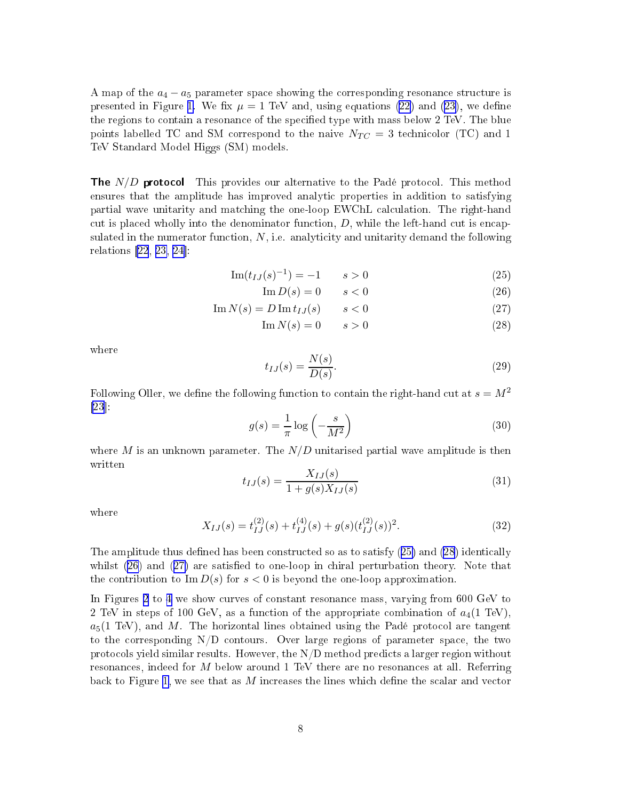A map of the  $a_4 - a_5$  parameter space showing the corresponding resonance structure is presented in Figure [1](#page-6-0). We fix  $\mu = 1$  TeV and, using equations [\(22](#page-6-0)) and ([23\)](#page-6-0), we define the regions to contain a resonance of the specified type with mass below 2 TeV. The blue points labelled TC and SM correspond to the naive  $N_{TC} = 3$  technicolor (TC) and 1 TeV Standard Model Higgs (SM) models.

**The**  $N/D$  protocol This provides our alternative to the Padé protocol. This method ensures that the amplitude has improved analytic properties in addition to satisfying partial wave unitarity and matching the one-loop EWChL calculation. The right-hand cut is placed wholly into the denominator function,  $D$ , while the left-hand cut is encapsulated in the numerator function,  $N$ , i.e. analyticity and unitarity demand the following relations  $[22, 23, 24]$  $[22, 23, 24]$  $[22, 23, 24]$  $[22, 23, 24]$  $[22, 23, 24]$  $[22, 23, 24]$ :

$$
\text{Im}(t_{IJ}(s)^{-1}) = -1 \qquad s > 0 \tag{25}
$$

$$
\operatorname{Im} D(s) = 0 \qquad s < 0 \tag{26}
$$

$$
\operatorname{Im} N(s) = D \operatorname{Im} t_{IJ}(s) \qquad s < 0 \tag{27}
$$

$$
\operatorname{Im} N(s) = 0 \qquad s > 0 \tag{28}
$$

where

$$
t_{IJ}(s) = \frac{N(s)}{D(s)}.\t(29)
$$

Following Oller, we define the following function to contain the right-hand cut at  $s = M^2$  $[23]$  $[23]$ :

$$
g(s) = \frac{1}{\pi} \log \left( -\frac{s}{M^2} \right) \tag{30}
$$

where M is an unknown parameter. The  $N/D$  unitarised partial wave amplitude is then written

$$
t_{IJ}(s) = \frac{X_{IJ}(s)}{1 + g(s)X_{IJ}(s)}
$$
(31)

where

$$
X_{IJ}(s) = t_{IJ}^{(2)}(s) + t_{IJ}^{(4)}(s) + g(s)(t_{IJ}^{(2)}(s))^2.
$$
\n(32)

The amplitude thus defined has been constructed so as to satisfy  $(25)$  and  $(28)$  identically whilst  $(26)$  and  $(27)$  are satisfied to one-loop in chiral perturbation theory. Note that the contribution to  $\text{Im } D(s)$  for  $s < 0$  is beyond the one-loop approximation.

In Figures [2](#page-8-0) to [4](#page-9-0) we show curves of constant resonance mass, varying from 600 GeV to 2 TeV in steps of 100 GeV, as a function of the appropriate combination of  $a_4(1 \text{ TeV})$ .  $a_5(1 \text{ TeV})$ , and M. The horizontal lines obtained using the Padé protocol are tangent to the corresponding  $N/D$  contours. Over large regions of parameter space, the two protocols yield similar results. However, the  $N/D$  method predicts a larger region without resonan
es, indeed for M below around <sup>1</sup> TeV there are no resonan
es at all. Referring back to Figure [1,](#page-6-0) we see that as  $M$  increases the lines which define the scalar and vector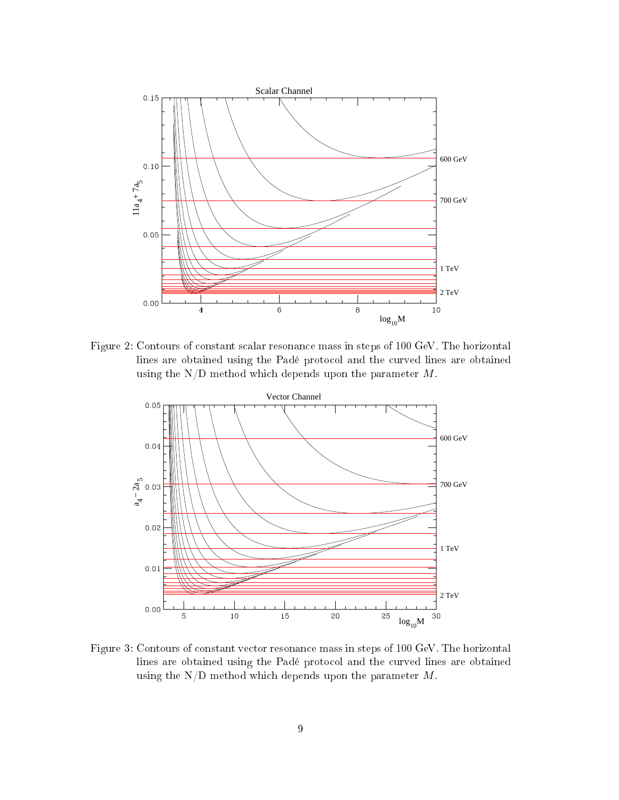<span id="page-8-0"></span>

Figure 2: Contours of onstant s
alar resonan
e mass in steps of 100 GeV. The horizontal lines are obtained using the Padé protocol and the curved lines are obtained using the  $N/D$  method which depends upon the parameter  $M$ .



Figure 3: Contours of constant vector resonance mass in steps of 100 GeV. The horizontal lines are obtained using the Padé protocol and the curved lines are obtained using the  $N/D$  method which depends upon the parameter  $M$ .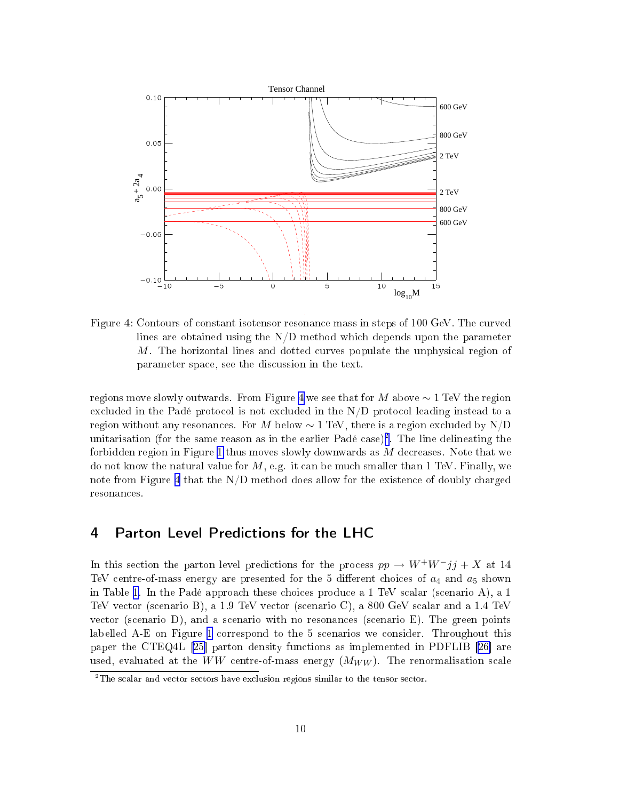<span id="page-9-0"></span>

 $M$ . The horizontal lines and dotted curves populate the unphysical region of Figure 4: Contours of constant isotensor resonance mass in steps of 100 GeV. The curved lines are obtained using the  $N/D$  method which depends upon the parameter parameter spa
e, see the dis
ussion in the text.

regions move slowly outwards. From Figure 4 we see that for M above  $\sim 1$  TeV the region excluded in the Padé protocol is not excluded in the N/D protocol leading instead to a region without any resonances. For M below  $\sim 1$  TeV, there is a region excluded by N/D unitarisation (for the same reason as in the earlier Pade case)". The line delineating the forbidden region in Figure [1](#page-6-0) thus moves slowly downwards as  $M$  decreases. Note that we do not know the natural value for  $M$ , e.g. it can be much smaller than 1 TeV. Finally, we note from Figure 4 that the  $N/D$  method does allow for the existence of doubly charged resonan
es.

# 4 Parton Level Predictions for the LHC

In this section the parton level predictions for the process  $pp \to W^+W^-jj + X$  at 14 TeV centre-of-mass energy are presented for the 5 different choices of  $a_4$  and  $a_5$  shown in Table [1](#page-10-0). In the Padé approach these choices produce a 1 TeV scalar (scenario A), a 1 TeV ve
tor (s
enario B), a 1.9 TeV ve
tor (s
enario C), a 800 GeV s
alar and a 1.4 TeV vector (scenario D), and a scenario with no resonances (scenario E). The green points labelled A-E on Figure [1](#page-6-0) orrespond to the 5 s
enarios we onsider. Throughout this paper the CTEQ4L  $[25]$  $[25]$  parton density functions as implemented in PDFLIB  $[26]$  are used, evaluated at the WW centre-of-mass energy  $(M_{WW})$ . The renormalisation scale

<sup>2</sup> The s
alar and ve
tor se
tors have ex
lusion regions similar to the tensor se
tor.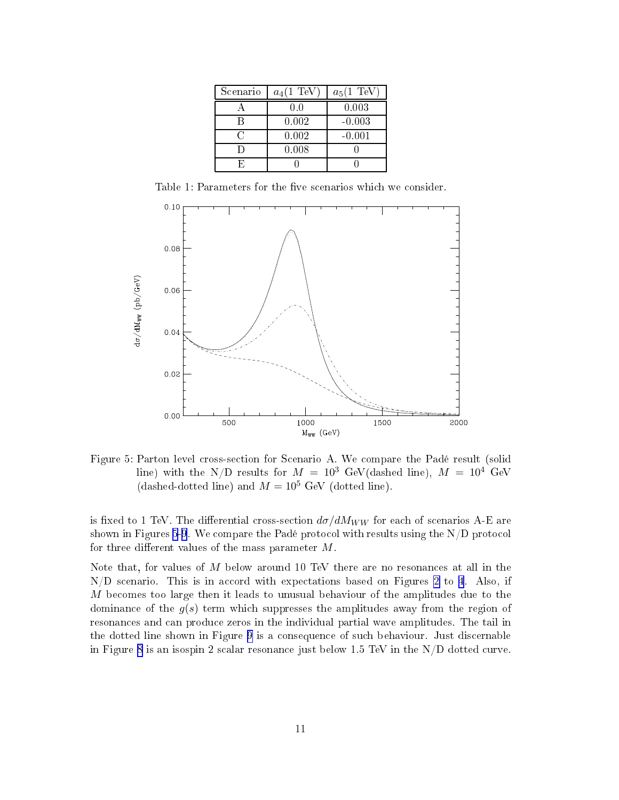<span id="page-10-0"></span>

| Scenario | $a_4(1 \text{ TeV})$ | $a_5(1 \text{ TeV})$ |
|----------|----------------------|----------------------|
|          | 0.0                  | 0.003                |
| R        | 0.002                | $-0.003$             |
| 63       | 0.002                | $-0.001$             |
| Đ        | 0.008                |                      |
|          |                      |                      |

Table 1: Parameters for the five scenarios which we consider.



Figure 5: Parton level cross-section for Scenario A. We compare the Padé result (solid line) with the N/D results for  $M = 10^3$  GeV(dashed line),  $M = 10^4$  GeV (dashed-dotted line) and  $M = 10^5$  GeV (dotted line).

is fixed to 1 TeV. The differential cross-section  $d\sigma/dM_{WW}$  for each of scenarios A-E are shown in Figures 5[-9](#page-12-0). We compare the Padé protocol with results using the  $N/D$  protocol for three different values of the mass parameter  $M$ .

Note that, for values of M below around <sup>10</sup> TeV there are no resonan
es at all in the  $N/D$  scenario. This is in accord with expectations based on Figures [2](#page-8-0) to [4](#page-9-0). Also, if M becomes too large then it leads to unusual behaviour of the amplitudes due to the dominance of the  $g(s)$  term which suppresses the amplitudes away from the region of resonan
es and an produ
e zeros in the individual partial wave amplitudes. The tail in the dotted line shown in Figure [9](#page-12-0) is a onsequen
e of su
h behaviour. Just dis
ernable in Figure [8](#page-12-0) is an isospin 2 scalar resonance just below 1.5 TeV in the  $N/D$  dotted curve.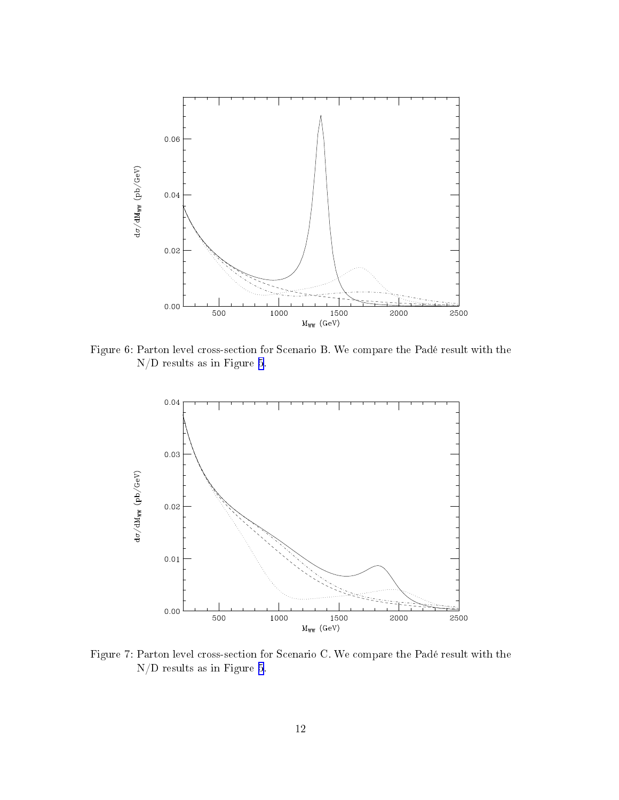

Figure 6: Parton level cross-section for Scenario B. We compare the Padé result with the N/D results as in Figure [5.](#page-10-0)



Figure 7: Parton level cross-section for Scenario C. We compare the Padé result with the N/D results as in Figure [5.](#page-10-0)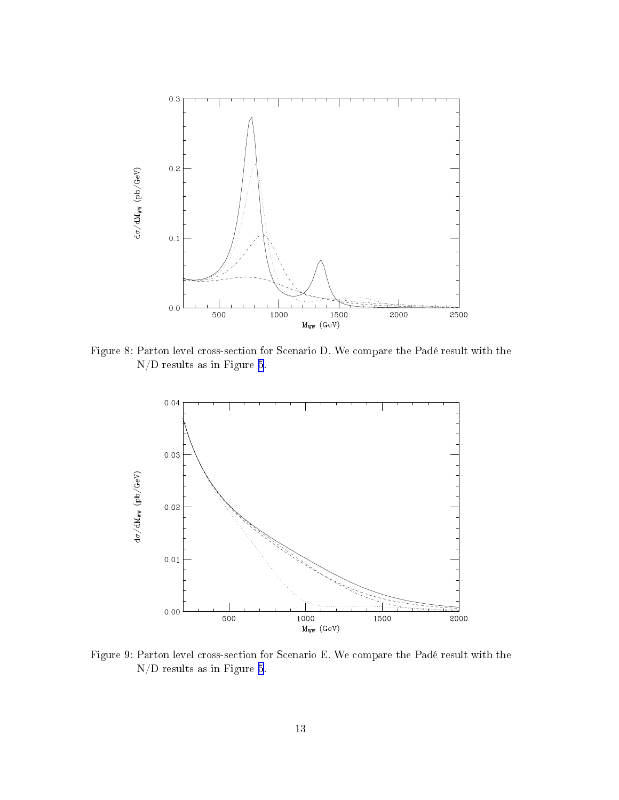<span id="page-12-0"></span>

Figure 8: Parton level cross-section for Scenario D. We compare the Padé result with the  $\rm N/D$  results as in Figure [5.](#page-10-0)



Figure 9: Parton level cross-section for Scenario E. We compare the Padé result with the  $\rm N/D$  results as in Figure [5](#page-10-0).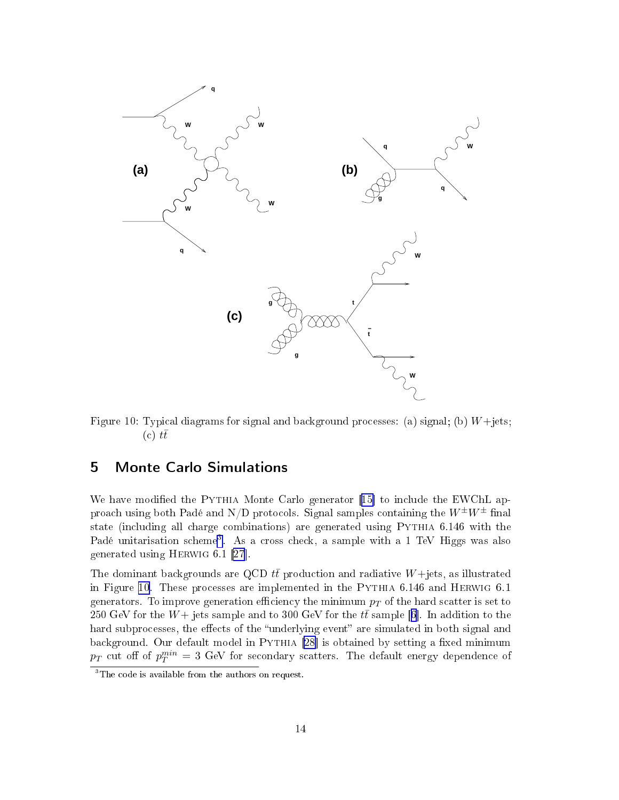<span id="page-13-0"></span>

Figure 10: Typical diagrams for signal and background processes: (a) signal; (b)  $W +$ jets;  $(c)$  tt

# 5 Monte Carlo Simulations

We have modified the PYTHIA Monte Carlo generator [15] to include the EWChL approach using both Padé and N/D protocols. Signal samples containing the  $W^{\pm}W^{\pm}$  final state (including all charge combinations) are generated using PYTHIA 6.146 with the Pade unitarisation scheme". As a cross check, a sample with a 1 TeV riggs was also generated using HERWIG  $6.1$  [\[27](#page-28-0)].

The dominant backgrounds are QCD  $t\bar{t}$  production and radiative  $W+$ jets, as illustrated in Figure 10. These pro
esses are implemented in the Pythia 6.146 and Herwig 6.1 generators. To improve generation efficiency the minimum  $p<sub>T</sub>$  of the hard scatter is set to 250 GeV for the  $W+$  jets sample and to 300 GeV for the  $t\bar{t}$  sample [6]. In addition to the hard subprocesses, the effects of the "underlying event" are simulated in both signal and background. Our default model in PYTHIA [\[28](#page-28-0)] is obtained by setting a fixed minimum  $p_T$  cut off of  $p_T^{min} = 3$  GeV for secondary scatters. The default energy dependence of

The code is available from the authors on request.  $\overline{\phantom{a}}$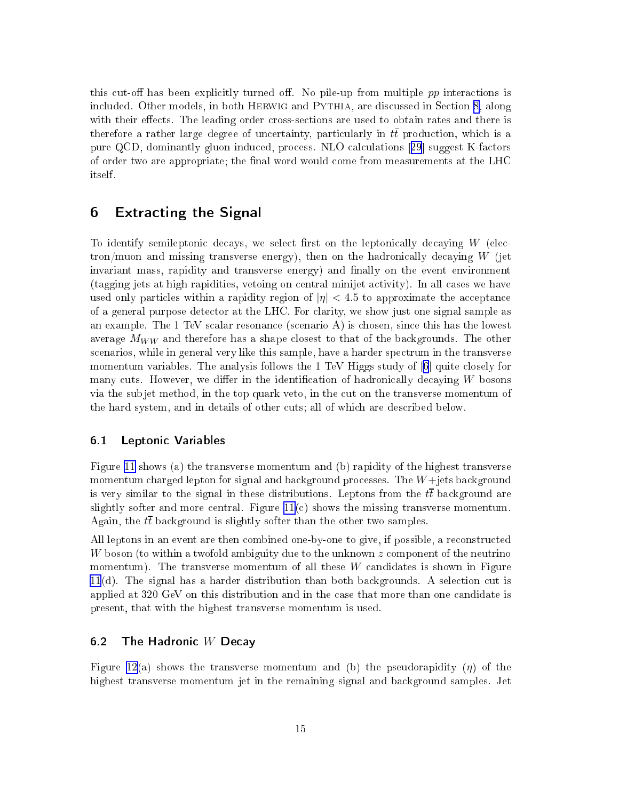this cut-off has been explicitly turned off. No pile-up from multiple  $pp$  interactions is included. Other models, in both HERWIG and PYTHIA, are discussed in Section [8](#page-21-0), along with their effects. The leading order cross-sections are used to obtain rates and there is therefore a rather large degree of uncertainty, particularly in  $t\bar{t}$  production, which is a pure QCD, dominantly gluon induced, process. NLO calculations [[29](#page-28-0)] suggest K-factors of order two are appropriate; the final word would come from measurements at the LHC itself.

## 6 Extra
ting the Signal

To identify semileptonic decays, we select first on the leptonically decaying  $W$  (electron/muon and missing transverse energy), then on the hadronically decaying  $W$  (jet invariant mass, rapidity and transverse energy) and finally on the event environment (tagging jets at high rapidities, vetoing on entral minijet a
tivity). In all ases we have used only particles within a rapidity region of  $|\eta| < 4.5$  to approximate the acceptance of a general purpose dete
tor at the LHC. For larity, we show just one signal sample as an example. The 1 TeV scalar resonance (scenario A) is chosen, since this has the lowest average  $M_{WW}$  and therefore has a shape closest to that of the backgrounds. The other scenarios, while in general very like this sample, have a harder spectrum in the transverse momentum variables. The analysis follows the 1 TeV Higgs study of  $[6]$  $[6]$  quite closely for many cuts. However, we differ in the identification of hadronically decaying W bosons via the subjet method, in the top quark veto, in the cut on the transverse momentum of the hard system, and in details of other uts; all of whi
h are des
ribed below.

#### 6.1 Leptoni Variables

Figure [11](#page-15-0) shows (a) the transverse momentum and (b) rapidity of the highest transverse momentum charged lepton for signal and background processes. The  $W+$ jets background is very similar to the signal in these distributions. Leptons from the  $t\bar{t}$  background are slightly softer and more central. Figure  $11(c)$  $11(c)$  shows the missing transverse momentum. Again, the  $t\bar{t}$  background is slightly softer than the other two samples.

All leptons in an event are then combined one-by-one to give, if possible, a reconstructed W boson (to within a twofold ambiguity due to the unknown  $z$  component of the neutrino momentum). The transverse momentum of all these  $W$  candidates is shown in Figure  $11(d)$  $11(d)$ . The signal has a harder distribution than both backgrounds. A selection cut is applied at 320 GeV on this distribution and in the ase that more than one andidate is present, that with the highest transverse momentum is used.

### 6.2 The Hadronic  $W$  Decay

Figure [12\(](#page-17-0)a) shows the transverse momentum and (b) the pseudorapidity  $(\eta)$  of the highest transverse momentum jet in the remaining signal and background samples. Jet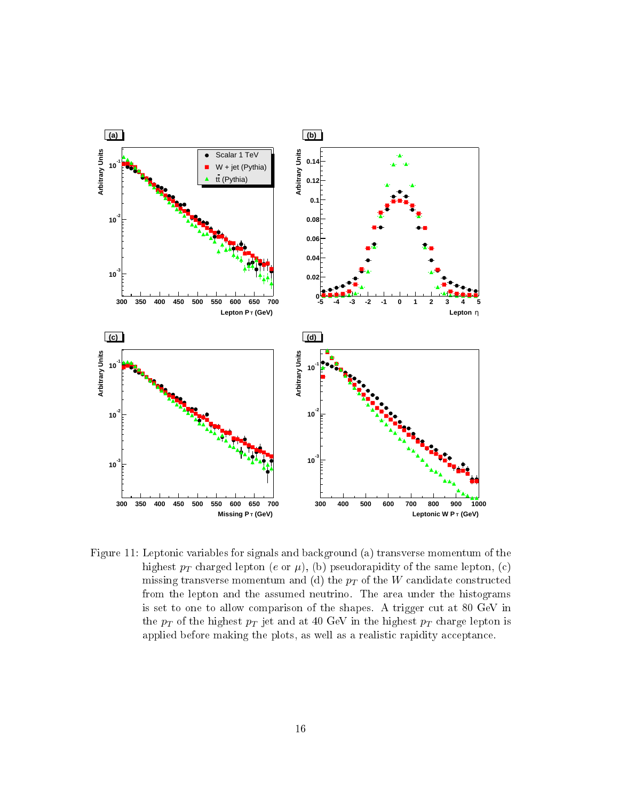<span id="page-15-0"></span>

Figure 11: Leptonic variables for signals and background (a) transverse momentum of the highest  $p_T$  charged lepton (e or  $\mu$ ), (b) pseudorapidity of the same lepton, (c) missing transverse momentum and (d) the  $p_T$  of the W candidate constructed from the lepton and the assumed neutrino. The area under the histograms is set to one to allow comparison of the shapes. A trigger cut at 80 GeV in the  $p_T$  of the highest  $p_T$  jet and at 40 GeV in the highest  $p_T$  charge lepton is applied before making the plots, as well as a realistic rapidity acceptance.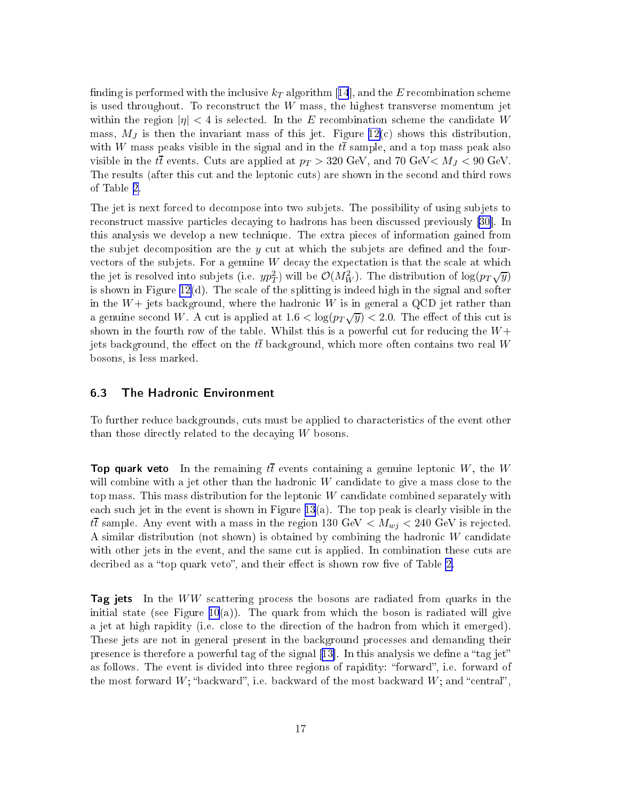<span id="page-16-0"></span>finding is performed with the inclusive  $k_T$  algorithm [[14](#page-28-0)], and the E recombination scheme is used throughout. To reconstruct the  $W$  mass, the highest transverse momentum jet within the region  $|\eta| < 4$  is selected. In the E recombination scheme the candidate W mass,  $M_J$  is then the invariant mass of this jet. Figure [12\(](#page-17-0)c) shows this distribution. with W mass peaks visible in the signal and in the  $t\bar{t}$  sample, and a top mass peak also visible in the tt events. Cuts are applied at  $p_T > 320$  GeV, and 70 GeV  $M_J < 90$  GeV. The results (after this cut and the leptonic cuts) are shown in the second and third rows of Table [2.](#page-23-0)

The jet is next forced to decompose into two subjets. The possibility of using subjets to reconstruct massive particles decaying to hadrons has been discussed previously [\[30](#page-28-0)]. In this analysis we develop a new te
hnique. The extra pie
es of information gained from the subjet decomposition are the  $y$  cut at which the subjets are defined and the fourvectors of the subjets. For a genuine  $W$  decay the expectation is that the scale at which the jet is resolved into subjets (i.e.  $yp_T^2$ ) will be  $\mathcal{O}(M_W^2)$ . The distribution of  $\log(p_T\sqrt{y})$ is shown in Figure  $12(d)$  $12(d)$ . The scale of the splitting is indeed high in the signal and softer in the  $W+$  jets background, where the hadronic W is in general a QCD jet rather than a genuine second W. A cut is applied at  $1.6 < \log(p_T\sqrt{y}) < 2.0$ . The effect of this cut is shown in the fourth row of the table. Whilst this is a powerful cut for reducing the  $W+$ jets background, the effect on the  $t\bar{t}$  background, which more often contains two real W bosons, is less marked.

#### 6.3 The Hadroni Environment

To further redu
e ba
kgrounds, uts must be applied to hara
teristi
s of the event other than those directly related to the decaying  $W$  bosons.

**Top quark veto** In the remaining  $t\overline{t}$  events containing a genuine leptonic  $W,$  the  $W$ will combine with a jet other than the hadronic  $W$  candidate to give a mass close to the top mass. This mass distribution for the leptonic  $W$  candidate combined separately with each such jet in the event is shown in Figure [13](#page-19-0)(a). The top peak is clearly visible in the  $t\bar{t}$  sample. Any event with a mass in the region 130 GeV  $\langle M_{wj} \rangle$  = 240 GeV is rejected. A similar distribution (not shown) is obtained by combining the hadronic  $W$  candidate with other jets in the event, and the same cut is applied. In combination these cuts are decribed as a "top quark veto", and their effect is shown row five of Table [2.](#page-23-0)

Tag jets In the WW scattering process the bosons are radiated from quarks in the initial state (see Figure  $10(a)$  $10(a)$ ). The quark from which the boson is radiated will give a jet at high rapidity (i.e. close to the direction of the hadron from which it emerged). These jets are not in general present in the ba
kground pro
esses and demanding their presence is therefore a powerful tag of the signal [13]. In this analysis we define a "tag jet" as follows. The event is divided into three regions of rapidity: "forward", i.e. forward of the most forward  $W$ ; "backward", i.e. backward of the most backward  $W$ ; and "central",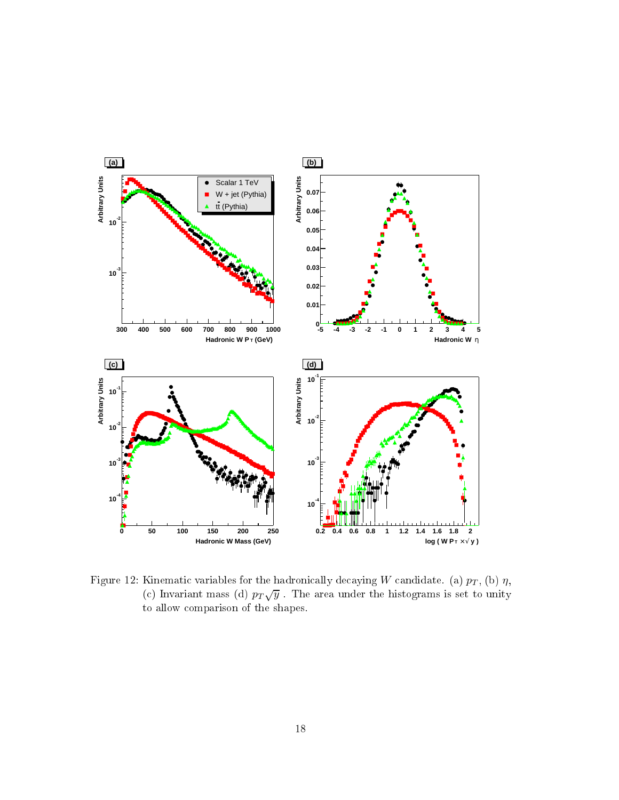<span id="page-17-0"></span>

Figure 12: Kinematic variables for the hadronically decaying W candidate. (a)  $p_T$ , (b)  $\eta$ , (c) Invariant mass (d)  $p_T\sqrt{y}$ . The area under the histograms is set to unity to allow omparison of the shapes.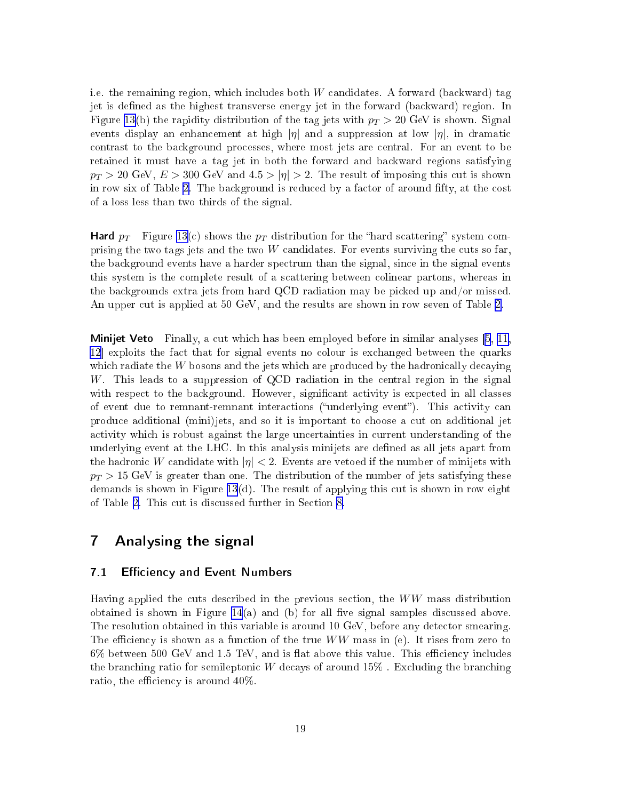i.e. the remaining region, which includes both  $W$  candidates. A forward (backward) tag jet is defined as the highest transverse energy jet in the forward (backward) region. In Figure [13](#page-19-0)(b) the rapidity distribution of the tag jets with  $p_T > 20$  GeV is shown. Signal events display an enhancement at high  $|\eta|$  and a suppression at low  $|\eta|$ , in dramatic ontrast to the ba
kground pro
esses, where most jets are entral. For an event to be retained it must have a tag jet in both the forward and ba
kward regions satisfying  $p_T > 20$  GeV,  $E > 300$  GeV and  $4.5 > |\eta| > 2$ . The result of imposing this cut is shown in row six of Table [2.](#page-23-0) The background is reduced by a factor of around fifty, at the cost of a loss less than two thirds of the signal.

Hard  $p_T$  Figure [13\(](#page-19-0)c) shows the  $p_T$  distribution for the "hard scattering" system comprising the two tags jets and the two  $W$  candidates. For events surviving the cuts so far. the ba
kground events have a harder spe
trum than the signal, sin
e in the signal events this system is the omplete result of a s
attering between olinear partons, whereas in the ba
kgrounds extra jets from hard QCD radiation may be pi
ked up and/or missed. An upper cut is applied at 50 GeV, and the results are shown in row seven of Table [2.](#page-23-0)

Minijet Veto Finally, a ut whi
h has been employed before in similar analyses [\[5](#page-27-0), [11,](#page-27-0) [12](#page-27-0) exploits the fact that for signal events no colour is exchanged between the quarks which radiate the  $W$  bosons and the jets which are produced by the hadronically decaying W. This leads to a suppression of QCD radiation in the central region in the signal with respect to the background. However, significant activity is expected in all classes of event due to remnant-remnant interactions ("underlying event"). This activity can produce additional (mini)jets, and so it is important to choose a cut on additional jet a
tivity whi
h is robust against the large un
ertainties in urrent understanding of the underlying event at the LHC. In this analysis minijets are defined as all jets apart from the hadronic W candidate with  $|\eta| < 2$ . Events are vetoed if the number of minijets with  $p_T > 15$  GeV is greater than one. The distribution of the number of jets satisfying these demands is shown in Figure [13](#page-19-0)(d). The result of applying this cut is shown in row eight of Table [2.](#page-23-0) This cut is discussed further in Section [8.](#page-21-0)

## 7 Analysing the signal

### 7.1 Efficiency and Event Numbers

Having applied the cuts described in the previous section, the WW mass distribution obtained is shown in Figure [14](#page-20-0)(a) and (b) for all five signal samples discussed above. The resolution obtained in this variable is around 10 GeV, before any detector smearing. The efficiency is shown as a function of the true  $WW$  mass in (e). It rises from zero to  $6\%$  between 500 GeV and 1.5 TeV, and is flat above this value. This efficiency includes the branching ratio for semileptonic W decays of around  $15\%$ . Excluding the branching ratio, the efficiency is around  $40\%$ .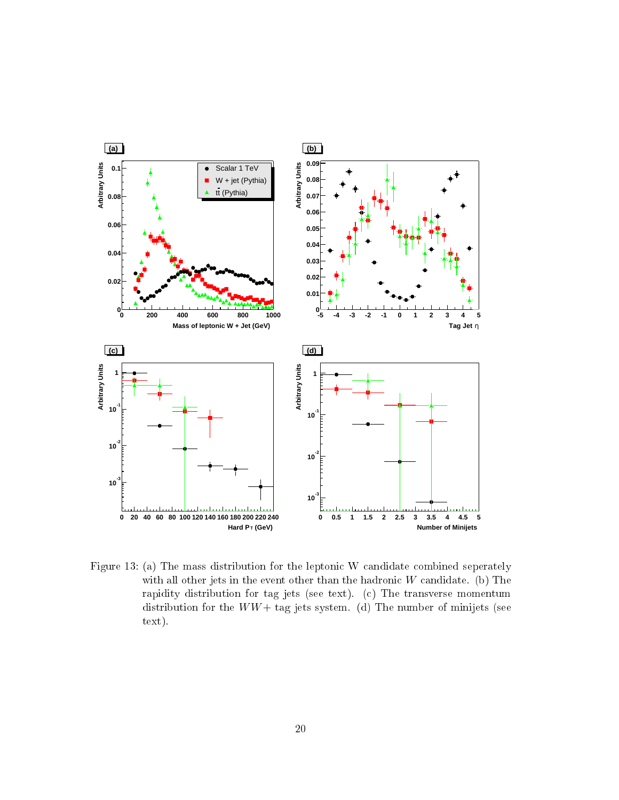<span id="page-19-0"></span>

Figure 13: (a) The mass distribution for the leptonic W candidate combined seperately with all other jets in the event other than the hadronic  $W$  candidate. (b) The rapidity distribution for tag jets (see text). (
) The transverse momentum distribution for the  $WW+$  tag jets system. (d) The number of minijets (see text).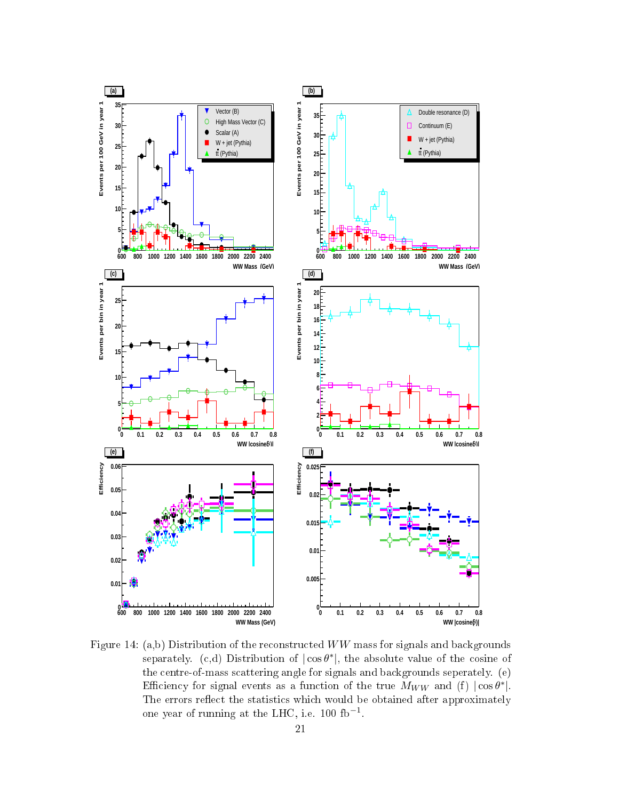<span id="page-20-0"></span>

Figure 14: (a,b) Distribution of the reconstructed WW mass for signals and backgrounds separately. (c,d) Distribution of  $|\cos \theta^*|$ , the absolute value of the cosine of the entre-of-mass s
attering angle for signals and ba
kgrounds seperately. (e) Efficiency for signal events as a function of the true  $M_{WW}$  and (f)  $|\cos \theta^*|$ . The errors reflect the statistics which would be obtained after approximately one year of running at the LHC, i.e. 100 fb<sup>-1</sup>.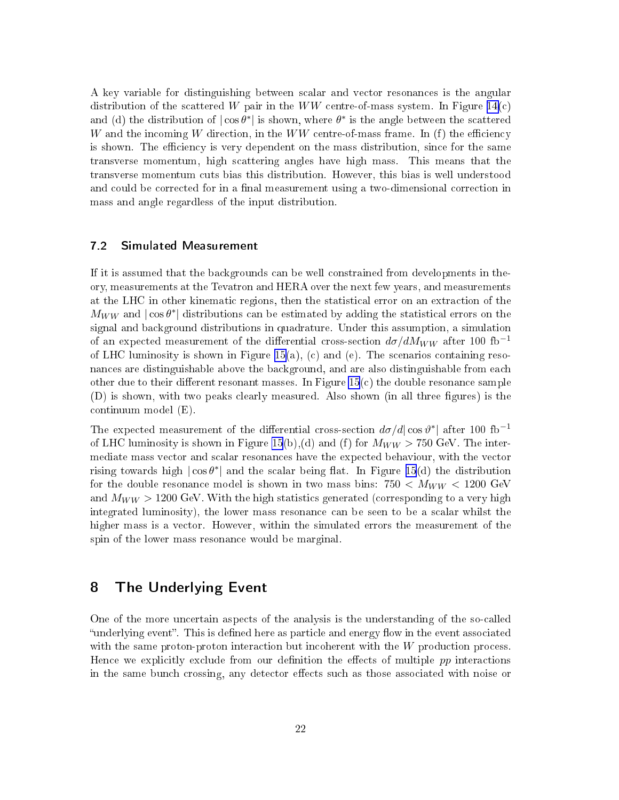<span id="page-21-0"></span>A key variable for distinguishing between s
alar and ve
tor resonan
es is the angular distribution of the scattered W pair in the WW centre-of-mass system. In Figure  $14(c)$  $14(c)$ and (d) the distribution of  $|\cos \theta^*|$  is shown, where  $\theta^*$  is the angle between the scattered W and the incoming W direction, in the  $WW$  centre-of-mass frame. In (f) the efficiency is shown. The efficiency is very dependent on the mass distribution, since for the same transverse momentum, high s
attering angles have high mass. This means that the transverse momentum uts bias this distribution. However, this bias is well understood and could be corrected for in a final measurement using a two-dimensional correction in mass and angle regardless of the input distribution.

#### 7.2 Simulated Measurement

If it is assumed that the ba
kgrounds an be well onstrained from developments in theory, measurements at the Tevatron and HERA over the next few years, and measurements at the LHC in other kinematic regions, then the statistical error on an extraction of the  $M_{WW}$  and  $|\cos \theta^*|$  distributions can be estimated by adding the statistical errors on the signal and ba
kground distributions in quadrature. Under this assumption, a simulation of an expected measurement of the differential cross-section  $d\sigma/dM_{WW}$  after 100 fb<sup>-1</sup> of LHC luminosity is shown in Figure [15\(](#page-22-0)a), (c) and (e). The scenarios containing resonan
es are distinguishable above the ba
kground, and are also distinguishable from ea
h other due to their different resonant masses. In Figure  $15(c)$  $15(c)$  the double resonance sample (D) is shown, with two peaks clearly measured. Also shown (in all three figures) is the ontinuum model (E).

The expected measurement of the differential cross-section  $d\sigma/d|\cos\vartheta^*|$  after 100 fb<sup>-1</sup> of LHC luminosity is shown in Figure [15](#page-22-0)(b),(d) and (f) for  $M_{WW} > 750$  GeV. The intermediate mass vector and scalar resonances have the expected behaviour, with the vector rising towards high  $|\cos \theta^*|$  and the scalar being flat. In Figure [15](#page-22-0)(d) the distribution for the double resonance model is shown in two mass bins:  $750 < M_{WW} < 1200$  GeV and  $M_{WW} > 1200$  GeV. With the high statistics generated (corresponding to a very high integrated luminosity), the lower mass resonance can be seen to be a scalar whilst the higher mass is a vector. However, within the simulated errors the measurement of the spin of the lower mass resonan
e would be marginal.

### 8 The Underlying Event

One of the more uncertain aspects of the analysis is the understanding of the so-called "underlying event". This is defined here as particle and energy flow in the event associated with the same proton-proton interaction but incoherent with the  $W$  production process. Hence we explicitly exclude from our definition the effects of multiple  $pp$  interactions in the same bunch crossing, any detector effects such as those associated with noise or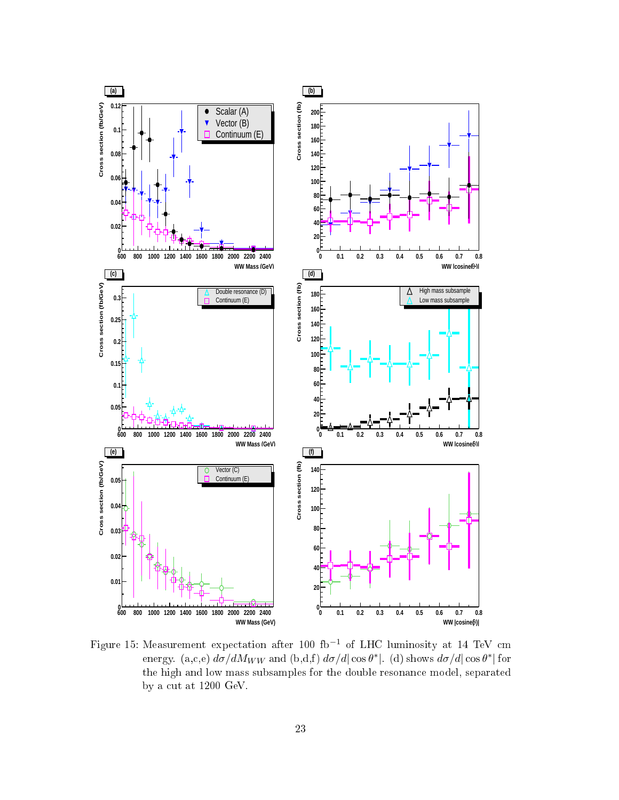<span id="page-22-0"></span>

Figure 15: Measurement expectation after 100 fb<sup>-1</sup> of LHC luminosity at 14 TeV cm energy. (a,c,e)  $d\sigma/dM_{WW}$  and (b,d,f)  $d\sigma/d|\cos\theta^*|$ . (d) shows  $d\sigma/d|\cos\theta^*|$  for the high and low mass subsamples for the double resonan
e model, separated by a cut at  $1200$  GeV.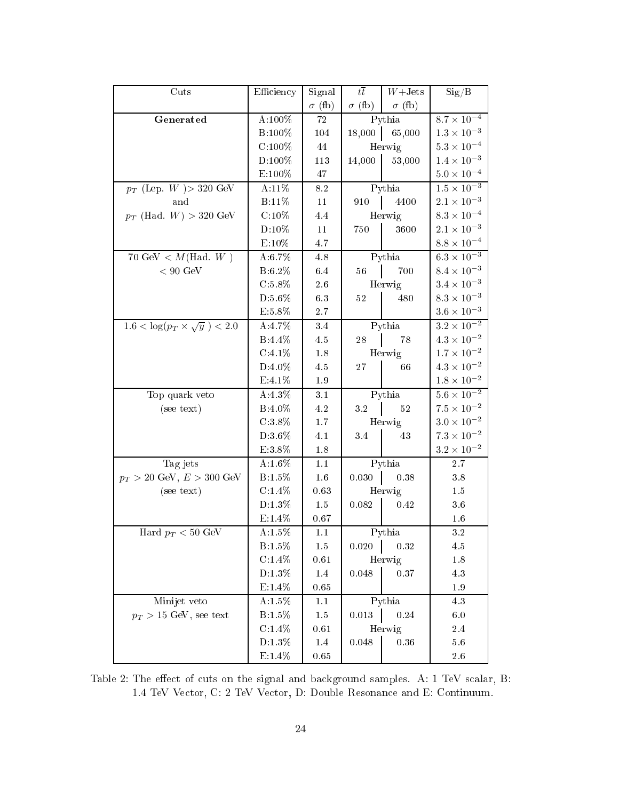<span id="page-23-0"></span>

| Cuts                                        | Efficiency          | Signal        | $t\bar{t}$          | $W+{\rm Jets}$  | Sig/B                         |
|---------------------------------------------|---------------------|---------------|---------------------|-----------------|-------------------------------|
|                                             |                     | $\sigma$ (fb) | $\sigma$ (fb)       | $\sigma$ (fb)   |                               |
| Generated                                   | A:100%              | 72            | Pythia              |                 | $8.7\times10^{-4}$            |
|                                             | B:100%              | 104           |                     | $18,000$ 65,000 | $1.3 \times 10^{-3}$          |
|                                             | $C:100\%$           | 44            |                     | Herwig          | $5.3\times10^{-4}$            |
|                                             | $D:100\%$           | 113           | 14,000              | 53,000          | $1.4\times10^{-3}$            |
|                                             | $\text{E:}100\%$    | $47\,$        |                     |                 | $5.0 \times 10^{-4}$          |
| $p_T$ (Lep. W ) > 320 GeV                   | $A:11\%$            | $8.2\,$       | Pythia              |                 | $1.5\times\overline{10^{-3}}$ |
| and                                         | B:11\%              | $11\,$        | $910$               | 4400            | $2.1\times10^{-3}$            |
| $p_T$ (Had. $W$ ) > 320 GeV                 | $C:10\%$            | 4.4           |                     | Herwig          | $8.3\times10^{-4}$            |
|                                             | $D:10\%$            | 11            | 750                 | 3600            | $2.1\times10^{-3}$            |
|                                             | $E:10\%$            | 4.7           |                     |                 | $8.8 \times 10^{-4}$          |
| 70 GeV < $M(Had, W)$                        | A:6.7%              | 4.8           |                     | Pythia          | $6.3 \times 10^{-3}$          |
| $< 90 \ \mathrm{GeV}$                       | B:6.2%              | 6.4           | 56                  | 700             | $8.4 \times 10^{-3}$          |
|                                             | $\rm C.5.8\%$       | $2.6\,$       |                     | Herwig          | $3.4\times10^{-3}$            |
|                                             | D:5.6%              | 6.3           | $52\,$              | 480             | $8.3\times10^{-3}$            |
|                                             | E:5.8%              | $2.7\,$       |                     |                 | $3.6\times10^{-3}$            |
| $1.6 < \log(p_T \times \sqrt{y}) < 2.0$     | A:4.7%              | 3.4           |                     | Pythia          | $3.2 \times 10^{-2}$          |
|                                             | $B.4.4\%$           | 4.5           | $28\,$              | 78              | $4.3\times10^{-2}$            |
|                                             | $C.4.1\%$           | $1.8\,$       |                     | Herwig          | $1.7\times10^{-2}$            |
|                                             | $D:4.0\%$           | 4.5           | 27                  | 66              | $4.3\times10^{-2}$            |
|                                             | E:4.1%              | $1.9\,$       |                     |                 | $1.8\times10^{-2}$            |
| Top quark veto                              | A:4.3%              | 3.1           |                     | Pythia          | $5.6\times10^{-2}$            |
| (see text)                                  | B:4.0%              | 4.2           | $3.2 \quad  $       | 52              | $7.5\times10^{-2}$            |
|                                             | $\mathrm{C}\ 3.8\%$ | $1.7\,$       |                     | Herwig          | $3.0\times10^{-2}$            |
|                                             | D:3.6%              | 4.1           | 3.4                 | 43              | $7.3\times10^{-2}$            |
|                                             | $\to 3.8\%$         | $1.8\,$       |                     |                 | $3.2 \times 10^{-2}$          |
| Tag jets                                    | A:1.6%              | 1.1           | $Pythi\overline{a}$ |                 | 2.7                           |
| $p_T > 20 \text{ GeV}, E > 300 \text{ GeV}$ | $B:1.5\%$           | $1.6\,$       | 0.030               | 0.38            | $3.8\,$                       |
| (see text)                                  | $C:1.4\%$           | 0.63          |                     | Herwig          | 1.5                           |
|                                             | $D:1.3\%$           | $1.5\,$       | 0.082               | 0.42            | 3.6                           |
|                                             | $E.1.4\%$           | 0.67          |                     |                 | $1.6\,$                       |
| Hard $p_T < 50$ GeV                         | A:1.5 $\%$          | 1.1           |                     | Pythia          | $3.2\,$                       |
|                                             | B:1.5%              | 1.5           | 0.020               | 0.32            | 4.5                           |
|                                             | $\rm C.1.4\%$       | $0.61\,$      |                     | Herwig          | 1.8                           |
|                                             | D:1.3%              | $1.4\,$       | 0.048               | 0.37            | $4.3\,$                       |
|                                             | E:1.4%              | 0.65          |                     |                 | 1.9                           |
| Minijet veto                                | A:1.5%              | 1.1           | Pythia              |                 | 4.3                           |
| $p_T > 15$ GeV, see text                    | B:1.5%              | $1.5\,$       | 0.013               | $0.24\,$        | 6.0                           |
|                                             | C.1.4%              | 0.61          |                     | Herwig          | $2.4\,$                       |
|                                             | $D:1.3\%$           | $1.4\,$       | 0.048               | $0.36\,$        | $5.6\,$                       |
|                                             | $E.1.4\%$           | 0.65          |                     |                 | 2.6                           |

Table 2: The effect of cuts on the signal and background samples. A: 1 TeV scalar, B: 1.4 TeV Ve
tor, C: 2 TeV Ve
tor, D: Double Resonan
e and E: Continuum.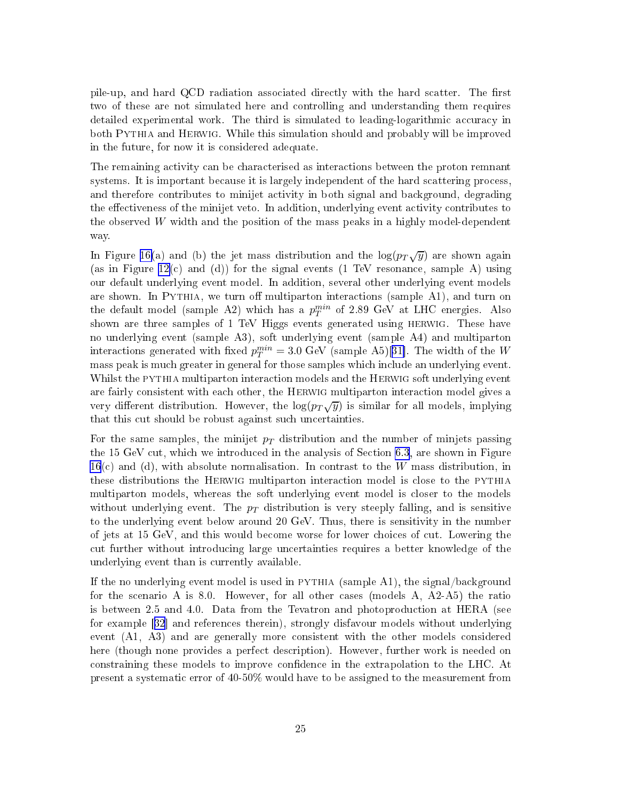pile-up, and hard QCD radiation associated directly with the hard scatter. The first two of these are not simulated here and ontrolling and understanding them requires detailed experimental work. The third is simulated to leading-logarithmic accuracy in both Pythia and Herwig. While this simulation should and probably will be improved in the future, for now it is onsidered adequate.

The remaining a
tivity an be hara
terised as intera
tions between the proton remnant systems. It is important because it is largely independent of the hard scattering process. and therefore contributes to minijet activity in both signal and background, degrading the effectiveness of the minijet veto. In addition, underlying event activity contributes to the observed  $W$  width and the position of the mass peaks in a highly model-dependent way.

In Figure [16\(](#page-26-0)a) and (b) the jet mass distribution and the  $\log(p_T\sqrt{y})$  are shown again (as in Figure  $12(c)$  $12(c)$  and (d)) for the signal events (1 TeV resonance, sample A) using our default underlying event model. In addition, several other underlying event models are shown. In PYTHIA, we turn off multiparton interactions (sample A1), and turn on the default model (sample A2) which has a  $p_T^{min}$  of 2.89 GeV at LHC energies. Also shown are three samples of 1 TeV Higgs events generated using HERWIG. These have no underlying event (sample A3), soft underlying event (sample A4) and multiparton interactions generated with fixed  $p_T^{min} = 3.0 \text{ GeV}$  (sample A5)[31]. The width of the W mass peak is mu
h greater in general for those samples whi
h in
lude an underlying event. Whilst the PYTHIA multiparton interaction models and the HERWIG soft underlying event are fairly onsistent with ea
h other, the Herwig multiparton intera
tion model gives a very different distribution. However, the  $\log(p_T\sqrt{y})$  is similar for all models, implying that this ut should be robust against su
h un
ertainties.

For the same samples, the minijet  $p<sub>T</sub>$  distribution and the number of minjets passing the 15 GeV cut, which we introduced in the analysis of Section [6.3](#page-16-0), are shown in Figure  $16(c)$  $16(c)$  and (d), with absolute normalisation. In contrast to the W mass distribution, in these distributions the Herwig multiparton intera
tion model is lose to the pythia multiparton models, whereas the soft underlying event model is closer to the models without underlying event. The  $p_T$  distribution is very steeply falling, and is sensitive to the underlying event below around 20 GeV. Thus, there is sensitivity in the number of jets at 15 GeV, and this would be
ome worse for lower hoi
es of ut. Lowering the ut further without introdu
ing large un
ertainties requires a better knowledge of the underlying event than is urrently available.

If the no underlying event model is used in PYTHIA (sample  $A1$ ), the signal/background for the s
enario A is 8.0. However, for all other ases (models A, A2-A5) the ratio is between 2.5 and 4.0. Data from the Tevatron and photoprodu
tion at HERA (see for example [[32](#page-28-0)] and references therein), strongly disfavour models without underlying event (A1, A3) and are generally more onsistent with the other models onsidered here (though none provides a perfe
t des
ription). However, further work is needed on constraining these models to improve confidence in the extrapolation to the LHC. At present a systemati error of 40-50% would have to be assigned to the measurement from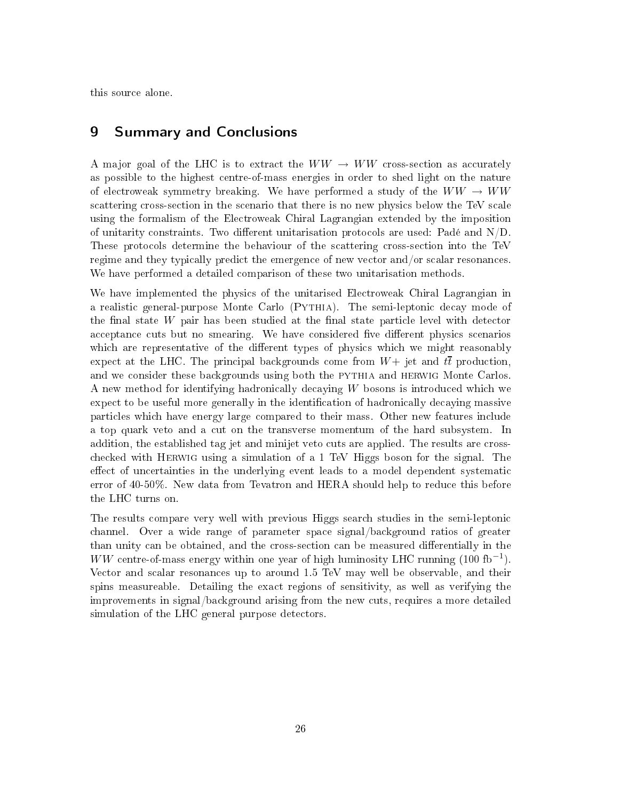this sour
e alone.

## 9 Summary and Con
lusions

A major goal of the LHC is to extract the  $WW \rightarrow WW$  cross-section as accurately as possible to the highest entre-of-mass energies in order to shed light on the nature of electroweak symmetry breaking. We have performed a study of the  $WW \rightarrow WW$ scattering cross-section in the scenario that there is no new physics below the TeV scale using the formalism of the Ele
troweak Chiral Lagrangian extended by the imposition of unitarity constraints. Two different unitarisation protocols are used: Padé and  $N/D$ . These protocols determine the behaviour of the scattering cross-section into the TeV regime and they typically predict the emergence of new vector and/or scalar resonances. We have performed a detailed omparison of these two unitarisation methods.

We have implemented the physics of the unitarised Electroweak Chiral Lagrangian in a realistic general-purpose Monte Carlo (PYTHIA). The semi-leptonic decay mode of the final state  $W$  pair has been studied at the final state particle level with detector acceptance cuts but no smearing. We have considered five different physics scenarios which are representative of the different types of physics which we might reasonably expect at the LHC. The principal backgrounds come from  $W+$  jet and  $t\bar{t}$  production, and we consider these backgrounds using both the PYTHIA and HERWIG Monte Carlos. A new method for identifying hadronically decaying W bosons is introduced which we expect to be useful more generally in the identification of hadronically decaying massive parti
les whi
h have energy large ompared to their mass. Other new features in
lude a top quark veto and a cut on the transverse momentum of the hard subsystem. In addition, the established tag jet and minijet veto cuts are applied. The results are crosshe
ked with Herwig using a simulation of a 1 TeV Higgs boson for the signal. The effect of uncertainties in the underlying event leads to a model dependent systematic error of 40-50%. New data from Tevatron and HERA should help to redu
e this before the LHC turns on.

The results compare very well with previous Higgs search studies in the semi-leptonic hannel. Over a wide range of parameter spa
e signal/ba
kground ratios of greater than unity can be obtained, and the cross-section can be measured differentially in the WW centre-of-mass energy within one year of high luminosity LHC running  $(100 \text{ fb}^{-1})$ . Vector and scalar resonances up to around 1.5 TeV may well be observable, and their spins measureable. Detailing the exa
t regions of sensitivity, as well as verifying the improvements in signal/ba
kground arising from the new uts, requires a more detailed simulation of the LHC general purpose detectors.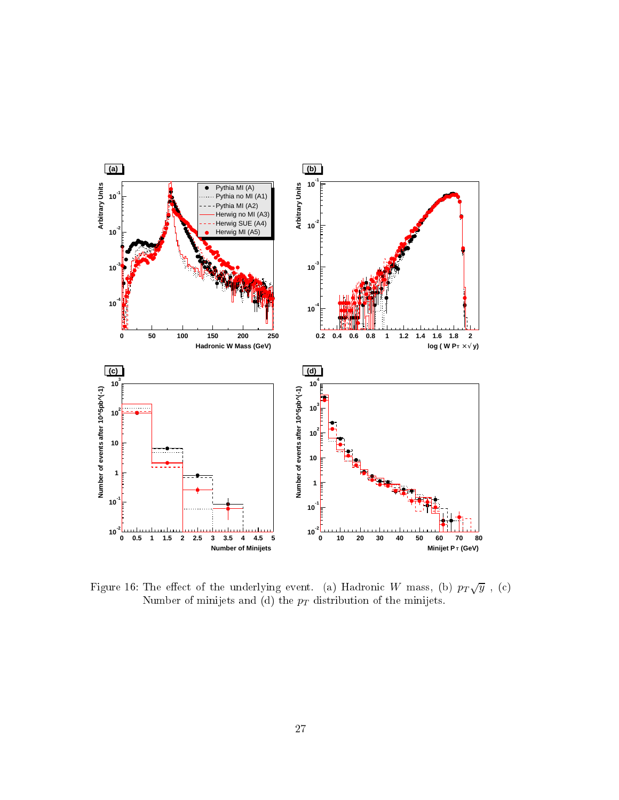<span id="page-26-0"></span>

Figure 16: The effect of the underlying event. (a) Hadronic W mass, (b)  $p_T\sqrt{y}$  , (c) Number of minijets and (d) the  $p_T$  distribution of the minijets.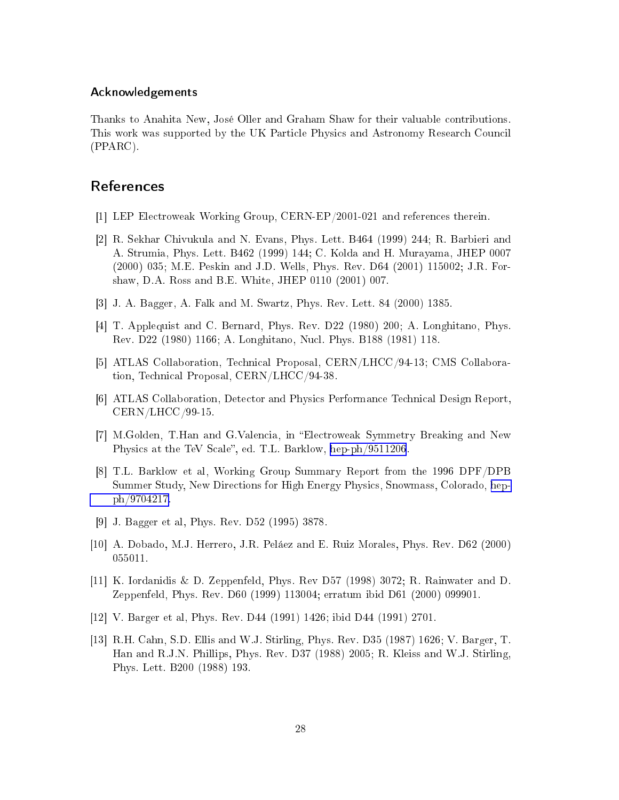#### <span id="page-27-0"></span>A
knowledgements

Thanks to Anahita New, José Oller and Graham Shaw for their valuable ontributions. This work was supported by the UK Parti
le Physi
s and Astronomy Resear
h Coun
il (PPARC).

## **References**

- [1] LEP Electroweak Working Group, CERN-EP/2001-021 and references therein.
- [2] R. Sekhar Chivukula and N. Evans, Phys. Lett. B464 (1999) 244; R. Barbieri and A. Strumia, Phys. Lett. B462 (1999) 144; C. Kolda and H. Murayama, JHEP 0007 (2000) 035; M.E. Peskin and J.D. Wells, Phys. Rev. D64 (2001) 115002; J.R. Forshaw, D.A. Ross and B.E. White, JHEP 0110 (2001) 007.
- [3] J. A. Bagger, A. Falk and M. Swartz, Phys. Rev. Lett. 84  $(2000)$  1385.
- [4] T. Applequist and C. Bernard, Phys. Rev. D22 (1980) 200; A. Longhitano, Phys. Rev. D22 (1980) 1166; A. Longhitano, Nu
l. Phys. B188 (1981) 118.
- [5] ATLAS Collaboration, Technical Proposal, CERN/LHCC/94-13; CMS Collaboration, Technical Proposal, CERN/LHCC/94-38.
- [6] ATLAS Collaboration, Detector and Physics Performance Technical Design Report, CERN/LHCC/99-15.
- [7] M.Golden, T.Han and G.Valencia, in "Electroweak Symmetry Breaking and New Physics at the TeV Scale", ed. T.L. Barklow, [hep-ph/9511206](http://arXiv.org/abs/hep-ph/9511206).
- [8] T.L. Barklow et al, Working Group Summary Report from the 1996 DPF/DPB Summer Study, New Dire
tions for High Energy Physi
s, Snowmass, Colorado, [hep](http://arXiv.org/abs/hep-ph/9704217)[ph/9704217.](http://arXiv.org/abs/hep-ph/9704217)
- [9] J. Bagger et al, Phys. Rev. D52 (1995) 3878.
- [10] A. Dobado, M.J. Herrero, J.R. Peláez and E. Ruiz Morales, Phys. Rev. D62 (2000) 055011.
- [11] K. Iordanidis & D. Zeppenfeld, Phys. Rev D57 (1998) 3072; R. Rainwater and D. Zeppenfeld, Phys. Rev. D60 (1999) 113004; erratum ibid D61 (2000) 099901.
- [12] V. Barger et al, Phys. Rev. D44 (1991) 1426; ibid D44 (1991) 2701.
- [13] R.H. Cahn, S.D. Ellis and W.J. Stirling, Phys. Rev. D35 (1987) 1626; V. Barger, T. Han and R.J.N. Phillips, Phys. Rev. D37 (1988) 2005; R. Kleiss and W.J. Stirling, Phys. Lett. B200 (1988) 193.